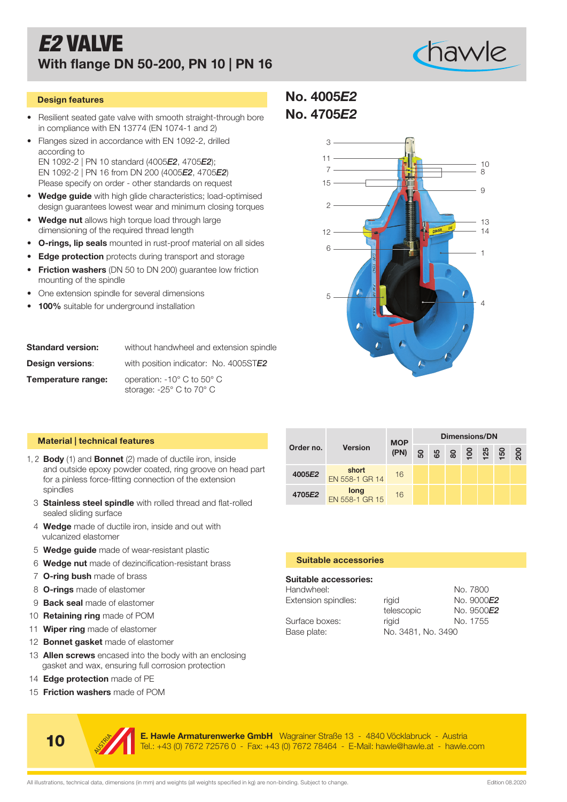## *E2* VALVE With flange DN 50-200, PN 10 | PN 16



- Resilient seated gate valve with smooth straight-through bore in compliance with EN 13774 (EN 1074-1 and 2)
- Flanges sized in accordance with EN 1092-2, drilled according to EN 1092-2 | PN 10 standard (4005*E2*, 4705*E2*); EN 1092-2 | PN 16 from DN 200 (4005*E2*, 4705*E2*) Please specify on order - other standards on request
- Wedge guide with high glide characteristics; load-optimised design guarantees lowest wear and minimum closing torques
- Wedge nut allows high torque load through large dimensioning of the required thread length
- **O-rings, lip seals** mounted in rust-proof material on all sides
- **Edge protection** protects during transport and storage
- Friction washers (DN 50 to DN 200) quarantee low friction mounting of the spindle
- One extension spindle for several dimensions
- 100% suitable for underground installation

| <b>Standard version:</b> | without handwheel and extension spindle                                  |
|--------------------------|--------------------------------------------------------------------------|
| <b>Design versions:</b>  | with position indicator: No. 4005STE2                                    |
| Temperature range:       | operation: $-10^{\circ}$ C to $50^{\circ}$ C<br>storage: -25° C to 70° C |

### Material | technical features

- 1, 2 **Body** (1) and **Bonnet** (2) made of ductile iron, inside and outside epoxy powder coated, ring groove on head part for a pinless force-fitting connection of the extension spindles
	- 3 Stainless steel spindle with rolled thread and flat-rolled sealed sliding surface
	- 4 Wedge made of ductile iron, inside and out with vulcanized elastomer
	- 5 **Wedge guide** made of wear-resistant plastic
	- 6 Wedge nut made of dezincification-resistant brass
	- 7 **O-ring bush** made of brass
	- 8 **O-rings** made of elastomer
- 9 **Back seal** made of elastomer
- 10 **Retaining ring** made of POM
- 11 Wiper ring made of elastomer
- 12 **Bonnet gasket** made of elastomer
- 13 **Allen screws** encased into the body with an enclosing gasket and wax, ensuring full corrosion protection
- 14 Edge protection made of PE
- 15 **Friction washers** made of POM





| aterial   technical features                                                                                                                                                              |                              |                         | <b>MOP</b>          | <b>Dimensions/DN</b> |          |                        |               |     |     |     |  |  |  |  |
|-------------------------------------------------------------------------------------------------------------------------------------------------------------------------------------------|------------------------------|-------------------------|---------------------|----------------------|----------|------------------------|---------------|-----|-----|-----|--|--|--|--|
|                                                                                                                                                                                           | Order no.                    | <b>Version</b>          | (PN)                | ន                    | 65       | ន                      | $\frac{8}{2}$ | 125 | 150 | 200 |  |  |  |  |
| <b>Body</b> (1) and <b>Bonnet</b> (2) made of ductile iron, inside<br>and outside epoxy powder coated, ring groove on head part<br>or a pinless force-fitting connection of the extension | 4005E2                       | short<br>EN 558-1 GR 14 | 16                  |                      |          |                        |               |     |     |     |  |  |  |  |
| spindles                                                                                                                                                                                  | 4705E2                       | long                    | 16                  |                      |          |                        |               |     |     |     |  |  |  |  |
| <b>Stainless steel spindle</b> with rolled thread and flat-rolled<br>sealed sliding surface                                                                                               |                              | EN 558-1 GR 15          |                     |                      |          |                        |               |     |     |     |  |  |  |  |
| <b>Nedge</b> made of ductile iron, inside and out with<br>ulcanized elastomer                                                                                                             |                              |                         |                     |                      |          |                        |               |     |     |     |  |  |  |  |
| <b>Nedge guide</b> made of wear-resistant plastic                                                                                                                                         |                              |                         |                     |                      |          |                        |               |     |     |     |  |  |  |  |
| <b>Nedge nut</b> made of dezincification-resistant brass                                                                                                                                  | <b>Suitable accessories</b>  |                         |                     |                      |          |                        |               |     |     |     |  |  |  |  |
| <b>D-ring bush</b> made of brass                                                                                                                                                          | <b>Suitable accessories:</b> |                         |                     |                      |          |                        |               |     |     |     |  |  |  |  |
| <b>D-rings</b> made of elastomer                                                                                                                                                          | Handwheel:                   |                         |                     |                      | No. 7800 |                        |               |     |     |     |  |  |  |  |
| <b>Back seal</b> made of elastomer                                                                                                                                                        | Extension spindles:          |                         | rigid               |                      |          | No. 9000E2             |               |     |     |     |  |  |  |  |
| <b>Retaining ring</b> made of POM                                                                                                                                                         | Surface boxes:               |                         | telescopic<br>rigid |                      |          | No. 9500E2<br>No. 1755 |               |     |     |     |  |  |  |  |
| <b>Niper ring</b> made of elastomer                                                                                                                                                       | Base plate:                  |                         | No. 3481, No. 3490  |                      |          |                        |               |     |     |     |  |  |  |  |
| <b>Bonnet gasket</b> made of elastomer                                                                                                                                                    |                              |                         |                     |                      |          |                        |               |     |     |     |  |  |  |  |
| Allen screws encased into the body with an enclosing<br>jasket and wax, ensuring full corrosion protection                                                                                |                              |                         |                     |                      |          |                        |               |     |     |     |  |  |  |  |
| Edge protection made of PE                                                                                                                                                                |                              |                         |                     |                      |          |                        |               |     |     |     |  |  |  |  |
| Friction washers made of POM                                                                                                                                                              |                              |                         |                     |                      |          |                        |               |     |     |     |  |  |  |  |
|                                                                                                                                                                                           |                              |                         |                     |                      |          |                        |               |     |     |     |  |  |  |  |
| E. Hawle Armaturenwerke GmbH Wagrainer Straße 13 - 4840 Vöcklabruck - Austria<br>10<br>Tel.: +43 (0) 7672 72576 0 - Fax: +43 (0) 7672 78464 - E-Mail: hawle@hawle.at - hawle.com          |                              |                         |                     |                      |          |                        |               |     |     |     |  |  |  |  |

### Suitable accessories

### Suitable accessories:

| Handwheel:          |                    | No. 7800   |
|---------------------|--------------------|------------|
| Extension spindles: | riaid              | No. 9000E2 |
|                     | telescopic         | No. 9500E2 |
| Surface boxes:      | riaid              | No. 1755   |
| Base plate:         | No. 3481, No. 3490 |            |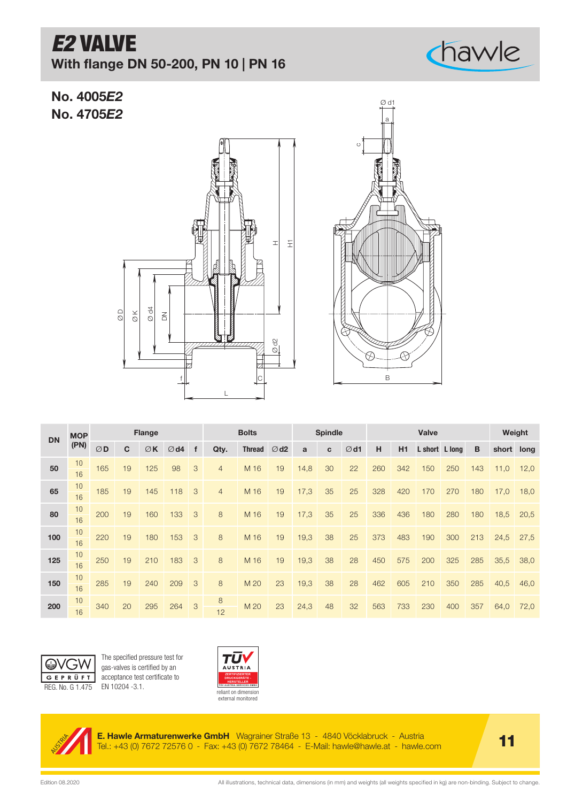# *E2* VALVE

With flange DN 50-200, PN 10 | PN 16

No. 4005*E2* No. 4705*E2*





chawle

| <b>DN</b> | <b>MOP</b> |     |              | <b>Flange</b> |                |             | <b>Bolts</b>   |               |                  | <b>Spindle</b> |             |                |     | Weight |                |     |     |            |      |
|-----------|------------|-----|--------------|---------------|----------------|-------------|----------------|---------------|------------------|----------------|-------------|----------------|-----|--------|----------------|-----|-----|------------|------|
|           | (PN)       | ØD  | $\mathbf{C}$ | $\emptyset$ K | $\emptyset$ d4 | $\mathbf f$ | Qty.           | <b>Thread</b> | $\varnothing$ d2 | a              | $\mathbf c$ | $\emptyset$ d1 | H   | H1     | L short L long |     | B   | short long |      |
| 50        | 10<br>16   | 165 | 19           | 125           | 98             | 3           | 4              | M 16          | 19               | 14,8           | 30          | 22             | 260 | 342    | 150            | 250 | 143 | 11,0       | 12,0 |
| 65        | 10<br>16   | 185 | 19           | 145           | 118            | 3           | $\overline{4}$ | M 16          | 19               | 17,3           | 35          | 25             | 328 | 420    | 170            | 270 | 180 | 17,0       | 18,0 |
| 80        | 10<br>16   | 200 | 19           | 160           | 133            | 3           | 8              | M 16          | 19               | 17,3           | 35          | 25             | 336 | 436    | 180            | 280 | 180 | 18.5       | 20,5 |
| 100       | 10<br>16   | 220 | 19           | 180           | 153            | 3           | 8              | M 16          | 19               | 19,3           | 38          | 25             | 373 | 483    | 190            | 300 | 213 | 24,5       | 27,5 |
| 125       | 10<br>16   | 250 | 19           | 210           | 183            | 3           | 8              | M 16          | 19               | 19,3           | 38          | 28             | 450 | 575    | 200            | 325 | 285 | 35,5       | 38,0 |
| 150       | 10<br>16   | 285 | 19           | 240           | 209            | 3           | 8              | M 20          | 23               | 19,3           | 38          | 28             | 462 | 605    | 210            | 350 | 285 | 40,5       | 46,0 |
| 200       | 10<br>16   | 340 | 20           | 295           | 264            | 3           | 8<br>12        | M 20          | 23               | 24,3           | 48          | 32             | 563 | 733    | 230            | 400 | 357 | 64,0       | 72,0 |



The specified pressure test for gas-valves is certified by an acceptance test certificate to



**E. Hawle Armaturenwerke GmbH** Wagrainer Straße 13 - 4840 Vöcklabruck - Austria **11 - 11 - 11 - 11 - 11 - 11 - 1**<br>Tel.: +43 (0) 7672 72576 0 - Fax: +43 (0) 7672 78464 - E-Mail: hawle@hawle.at - hawle.com **11 - 11** - 11 - 1

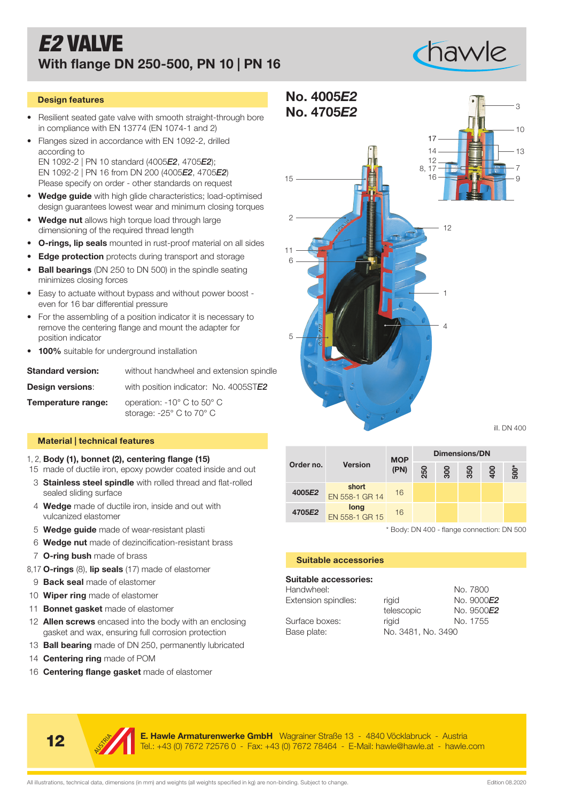### *E2* VALVE With flange DN 250-500, PN 10 | PN 16



### Design features

- Resilient seated gate valve with smooth straight-through bore in compliance with EN 13774 (EN 1074-1 and 2)
- Flanges sized in accordance with EN 1092-2, drilled according to EN 1092-2 | PN 10 standard (4005*E2*, 4705*E2*); EN 1092-2 | PN 16 from DN 200 (4005*E2*, 4705*E2*) Please specify on order - other standards on request
- Wedge guide with high glide characteristics; load-optimised design guarantees lowest wear and minimum closing torques
- Wedge nut allows high torque load through large dimensioning of the required thread length
- **O-rings, lip seals** mounted in rust-proof material on all sides
- **Edge protection** protects during transport and storage
- Ball bearings (DN 250 to DN 500) in the spindle seating minimizes closing forces
- Easy to actuate without bypass and without power boost even for 16 bar differential pressure
- For the assembling of a position indicator it is necessary to remove the centering flange and mount the adapter for position indicator
- 100% suitable for underground installation

| <b>Standard version:</b> | without handwheel and extension spindle                               |
|--------------------------|-----------------------------------------------------------------------|
| <b>Design versions:</b>  | with position indicator: No. 4005STE2                                 |
| Temperature range:       | operation: -10° C to 50° C<br>storage: $-25^\circ$ C to 70 $^\circ$ C |

### Material | technical features

- 1, 2, Body (1), bonnet (2), centering flange (15)
- 15 made of ductile iron, epoxy powder coated inside and out
- 3 Stainless steel spindle with rolled thread and flat-rolled sealed sliding surface
- 4 Wedge made of ductile iron, inside and out with vulcanized elastomer
- 5 Wedge guide made of wear-resistant plasti
- 6 Wedge nut made of dezincification-resistant brass
- 7 O-ring bush made of brass
- 8,17 O-rings (8), lip seals (17) made of elastomer
- 9 **Back seal** made of elastomer
- 10 **Wiper ring** made of elastomer
- 11 **Bonnet gasket** made of elastomer
- 12 Allen screws encased into the body with an enclosing gasket and wax, ensuring full corrosion protection
- 13 **Ball bearing** made of DN 250, permanently lubricated
- 14 **Centering ring** made of POM
- 16 **Centering flange gasket** made of elastomer



| Body (1), bonnet (2), centering flange (15)                                                                                                                                      |                               |                             | <b>MOP</b>                                 | <b>Dimensions/DN</b> |                        |            |     |        |  |  |
|----------------------------------------------------------------------------------------------------------------------------------------------------------------------------------|-------------------------------|-----------------------------|--------------------------------------------|----------------------|------------------------|------------|-----|--------|--|--|
| nade of ductile iron, epoxy powder coated inside and out                                                                                                                         | Order no.                     | <b>Version</b>              | (PN)                                       | 250                  | 80                     | 350        | 400 | $500*$ |  |  |
| <b>Stainless steel spindle</b> with rolled thread and flat-rolled<br>sealed sliding surface                                                                                      | 4005E2                        | short<br>EN 558-1 GR 14     | 16                                         |                      |                        |            |     |        |  |  |
| <b>Nedge</b> made of ductile iron, inside and out with<br>ulcanized elastomer                                                                                                    | 4705E2                        | long<br>EN 558-1 GR 15      | 16                                         |                      |                        |            |     |        |  |  |
| <b>Nedge guide</b> made of wear-resistant plasti                                                                                                                                 |                               |                             | * Body: DN 400 - flange connection: DN 500 |                      |                        |            |     |        |  |  |
| <b>Nedge nut</b> made of dezincification-resistant brass                                                                                                                         |                               |                             |                                            |                      |                        |            |     |        |  |  |
| <b>D-ring bush</b> made of brass                                                                                                                                                 |                               | <b>Suitable accessories</b> |                                            |                      |                        |            |     |        |  |  |
| <b>D-rings</b> (8), lip seals (17) made of elastomer<br><b>Back seal</b> made of elastomer                                                                                       | Suitable accessories:         |                             |                                            |                      |                        |            |     |        |  |  |
| <b>Niper ring</b> made of elastomer                                                                                                                                              | Handwheel:                    |                             |                                            |                      | No. 7800<br>No. 9000E2 |            |     |        |  |  |
| <b>Bonnet gasket</b> made of elastomer                                                                                                                                           | Extension spindles:           |                             | rigid<br>telescopic                        |                      |                        | No. 9500E2 |     |        |  |  |
| <b>Allen screws</b> encased into the body with an enclosing<br>jasket and wax, ensuring full corrosion protection                                                                | Surface boxes:<br>Base plate: |                             | No. 1755<br>rigid<br>No. 3481, No. 3490    |                      |                        |            |     |        |  |  |
| <b>Ball bearing</b> made of DN 250, permanently lubricated                                                                                                                       |                               |                             |                                            |                      |                        |            |     |        |  |  |
| Centering ring made of POM                                                                                                                                                       |                               |                             |                                            |                      |                        |            |     |        |  |  |
| Centering flange gasket made of elastomer                                                                                                                                        |                               |                             |                                            |                      |                        |            |     |        |  |  |
|                                                                                                                                                                                  |                               |                             |                                            |                      |                        |            |     |        |  |  |
|                                                                                                                                                                                  |                               |                             |                                            |                      |                        |            |     |        |  |  |
|                                                                                                                                                                                  |                               |                             |                                            |                      |                        |            |     |        |  |  |
| E. Hawle Armaturenwerke GmbH Wagrainer Straße 13 - 4840 Vöcklabruck - Austria<br>12<br>Tel.: +43 (0) 7672 72576 0 - Fax: +43 (0) 7672 78464 - E-Mail: hawle@hawle.at - hawle.com |                               |                             |                                            |                      |                        |            |     |        |  |  |

### Suitable accessories

### Suitable accessories:

| Handwheel:          |                    | No. 7800           |
|---------------------|--------------------|--------------------|
| Extension spindles: | riaid              | No. 9000E2         |
|                     | telescopic         | No. 9500 <b>E2</b> |
| Surface boxes:      | riaid              | No. 1755           |
| Base plate:         | No. 3481, No. 3490 |                    |
|                     |                    |                    |